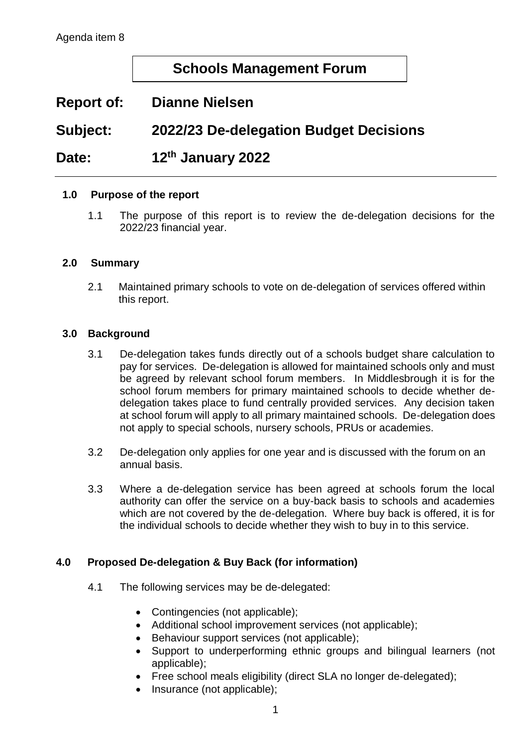# **Schools Management Forum**

# **Report of: Dianne Nielsen**

# **Subject: 2022/23 De-delegation Budget Decisions**

#### **Date: th January 2022**

### **1.0 Purpose of the report**

1.1 The purpose of this report is to review the de-delegation decisions for the 2022/23 financial year.

### **2.0 Summary**

2.1 Maintained primary schools to vote on de-delegation of services offered within this report.

### **3.0 Background**

- 3.1 De-delegation takes funds directly out of a schools budget share calculation to pay for services. De-delegation is allowed for maintained schools only and must be agreed by relevant school forum members. In Middlesbrough it is for the school forum members for primary maintained schools to decide whether dedelegation takes place to fund centrally provided services. Any decision taken at school forum will apply to all primary maintained schools. De-delegation does not apply to special schools, nursery schools, PRUs or academies.
- 3.2 De-delegation only applies for one year and is discussed with the forum on an annual basis.
- 3.3 Where a de-delegation service has been agreed at schools forum the local authority can offer the service on a buy-back basis to schools and academies which are not covered by the de-delegation. Where buy back is offered, it is for the individual schools to decide whether they wish to buy in to this service.

### **4.0 Proposed De-delegation & Buy Back (for information)**

- 4.1 The following services may be de-delegated:
	- Contingencies (not applicable);
	- Additional school improvement services (not applicable);
	- Behaviour support services (not applicable);
	- Support to underperforming ethnic groups and bilingual learners (not applicable);
	- Free school meals eligibility (direct SLA no longer de-delegated);
	- Insurance (not applicable);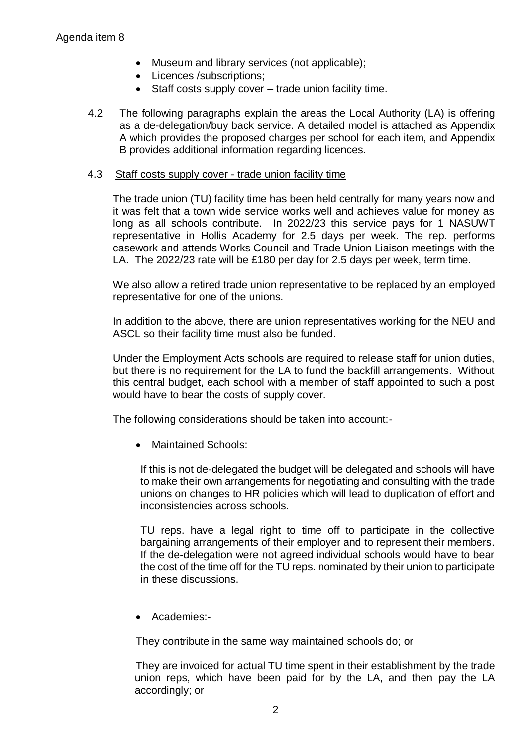- Museum and library services (not applicable);
- Licences /subscriptions:
- Staff costs supply cover trade union facility time.
- 4.2 The following paragraphs explain the areas the Local Authority (LA) is offering as a de-delegation/buy back service. A detailed model is attached as Appendix A which provides the proposed charges per school for each item, and Appendix B provides additional information regarding licences.

#### 4.3 Staff costs supply cover - trade union facility time

The trade union (TU) facility time has been held centrally for many years now and it was felt that a town wide service works well and achieves value for money as long as all schools contribute. In 2022/23 this service pays for 1 NASUWT representative in Hollis Academy for 2.5 days per week. The rep. performs casework and attends Works Council and Trade Union Liaison meetings with the LA. The 2022/23 rate will be £180 per day for 2.5 days per week, term time.

We also allow a retired trade union representative to be replaced by an employed representative for one of the unions.

In addition to the above, there are union representatives working for the NEU and ASCL so their facility time must also be funded.

Under the Employment Acts schools are required to release staff for union duties, but there is no requirement for the LA to fund the backfill arrangements. Without this central budget, each school with a member of staff appointed to such a post would have to bear the costs of supply cover.

The following considerations should be taken into account:-

• Maintained Schools:

If this is not de-delegated the budget will be delegated and schools will have to make their own arrangements for negotiating and consulting with the trade unions on changes to HR policies which will lead to duplication of effort and inconsistencies across schools.

TU reps. have a legal right to time off to participate in the collective bargaining arrangements of their employer and to represent their members. If the de-delegation were not agreed individual schools would have to bear the cost of the time off for the TU reps. nominated by their union to participate in these discussions.

• Academies:-

They contribute in the same way maintained schools do; or

They are invoiced for actual TU time spent in their establishment by the trade union reps, which have been paid for by the LA, and then pay the LA accordingly; or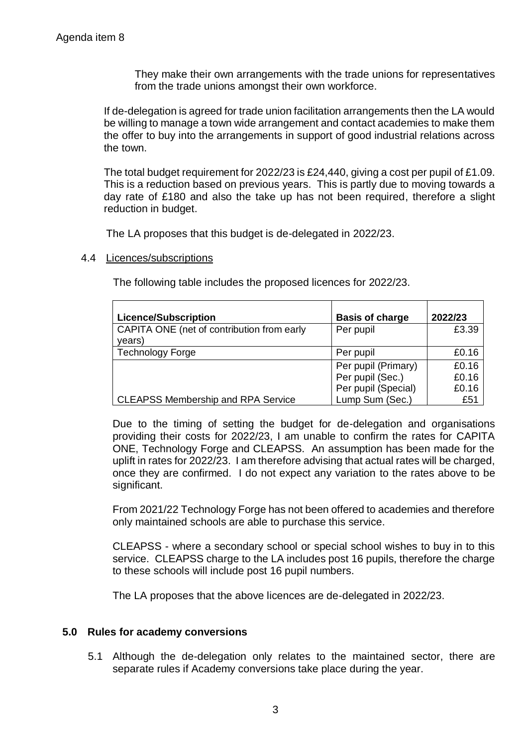They make their own arrangements with the trade unions for representatives from the trade unions amongst their own workforce.

If de-delegation is agreed for trade union facilitation arrangements then the LA would be willing to manage a town wide arrangement and contact academies to make them the offer to buy into the arrangements in support of good industrial relations across the town.

The total budget requirement for 2022/23 is £24,440, giving a cost per pupil of £1.09. This is a reduction based on previous years. This is partly due to moving towards a day rate of £180 and also the take up has not been required, therefore a slight reduction in budget.

The LA proposes that this budget is de-delegated in 2022/23.

#### 4.4 Licences/subscriptions

The following table includes the proposed licences for 2022/23.

| <b>Licence/Subscription</b>                          | <b>Basis of charge</b> | 2022/23 |
|------------------------------------------------------|------------------------|---------|
| CAPITA ONE (net of contribution from early<br>years) | Per pupil              | £3.39   |
| <b>Technology Forge</b>                              | Per pupil              | £0.16   |
|                                                      | Per pupil (Primary)    | £0.16   |
|                                                      | Per pupil (Sec.)       | £0.16   |
|                                                      | Per pupil (Special)    | £0.16   |
| <b>CLEAPSS Membership and RPA Service</b>            | Lump Sum (Sec.)        | £51     |

Due to the timing of setting the budget for de-delegation and organisations providing their costs for 2022/23, I am unable to confirm the rates for CAPITA ONE, Technology Forge and CLEAPSS. An assumption has been made for the uplift in rates for 2022/23. I am therefore advising that actual rates will be charged, once they are confirmed. I do not expect any variation to the rates above to be significant.

From 2021/22 Technology Forge has not been offered to academies and therefore only maintained schools are able to purchase this service.

CLEAPSS - where a secondary school or special school wishes to buy in to this service. CLEAPSS charge to the LA includes post 16 pupils, therefore the charge to these schools will include post 16 pupil numbers.

The LA proposes that the above licences are de-delegated in 2022/23.

### **5.0 Rules for academy conversions**

5.1 Although the de-delegation only relates to the maintained sector, there are separate rules if Academy conversions take place during the year.